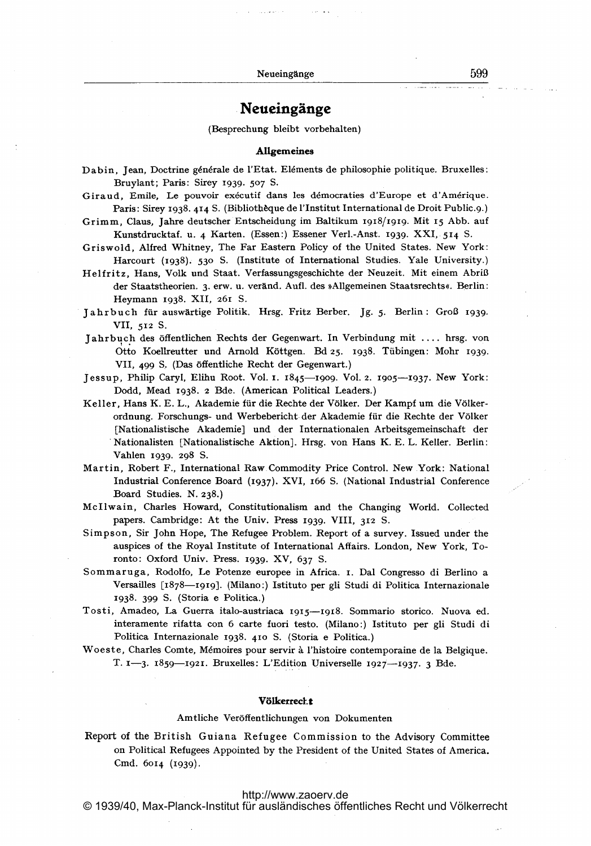# Neueingänge

(Besprechung bleibt vorbehalten)

#### **Allgemeines**

Giraud, Emile, Le pouvoir exécutif dans les démocraties d'Europe et d'Amérique. Paris: Sirey 1938. 414 S. (Biblioth de la l'Institut International de Droit Public.9.)

Grimm, Claus, jahre deutscher Entscheidung im Baltikum igi8/19I9. Mit <sup>15</sup> Abb. auf Kunstdrucktaf. u. 4 Karten. (Essen:) Essener Verl.-Anst. 1939- XXI, 514 S.

- Griswold, Alfred Whitney, The Far Eastern Policy of the United States. New York: Harcourt (1938). 530 S. (Institute of International Studies. Yale University.)
- Helfritz, Hans, Volk und Staat. Verfassungsgeschichte der Neuzeit. Mit einem Abriß der Staatstheorien. 3. erw. u. veränd. Aufl. des »Allgemeinen Staatsrechts«. Berlin: Heymann 1938. XII, 261 S.

Jahrbuch für auswärtige Politik. Hrsg. Fritz Berber. Jg. 5. Berlin: Groß 1939. VII, 512 S.

- Jahrbuch des öffentlichen Rechts der Gegenwart. In Verbindung mit .... hrsg. von Otto Koellreutter und Arnold K6ttgen. Bd 25. 1938. Tfibingen: Mohr 1939. VIL 499 S, (Das 6ffentliche Recht der Gegenwart.)
- Jessup, Philip Caryl, Elihu Root. Vol. 1. 1845-1909. V01. 2. r905-1937. New York: Dodd, Mead 1938. <sup>2</sup> Bde. (American Political Leaders.)
- Keller, Hans K. E. L., Akademie für die Rechte der Völker. Der Kampf um die Völkerordnung. Forschungs- und Werbebericht der Akademie für die Rechte der Völker [Nationalistische Akademie] und der Internationalen Arbeitsgemeinschaft der Nationalisten [Nationalistische Aktion]. Hrsg. von Hans K. E. L. Keller. Berlin: Vahlen 1939. 298 S.
- Martin, Robert F., International Raw. Commodity Price Control. New -York: National Industrial Conference Board (11937). XVI, <sup>1166</sup> S. (National Industrial Conference Board Studies. N. 238.)
- McIlwain, Charles Howard, Constitutionalism and the Changing World. Collected papers. Cambridge: At the Univ. Press 1939. VIII, <sup>312</sup> S.
- Simpson, Sir John Hope, The Refugee Problem. Report of <sup>a</sup> survey. Issued under the auspices of the Royal Institute of International Affairs. London, New York, Toronto: Oxford Univ. Press. 1939- XV, 637 S.
- Sommaruga, Rodolfo, Le Potenze europee in Africa. i. Dal Congresso di Berlino a Versailles [1878-1919]. (Milano:) Istituto per gli Studi di Politica Internazionale 1938- 399 S. (Storia e Politica.)
- Tosti, Amadeo, La Guerra italo-austriaca 1915-Igi8. Sommario storico. Nuova ed. interamente rifatta con <sup>6</sup> carte fuori testo. (Milano:) Istituto per gli Studi di Politica Internazionale 1938. 410 S. (Storia e Politica.)
- Woeste, Charles Comte, Mémoires pour servir à l'histoire contemporaine de la Belgique. T. 1-3. 1859-1921. Bruxelles: L'Edition Universelle 1927-1937. 3 Bde.

# Völkerrect.t

# Amtliche Veröffentlichungen von Dokumenten

Report of the British Guiana Refugee Commission to the Advisory Committee on Political Refugees Appointed by the President of the United States of America. Cmd. 6014 (1939).

# <http://www.zaoerv.de>

Dabin, jean, Doctrine g6n6rale de I'Etat. El6ments de philosophie politique. Bruxelles: Bruylant; Paris: Sirey 1939. 507 S.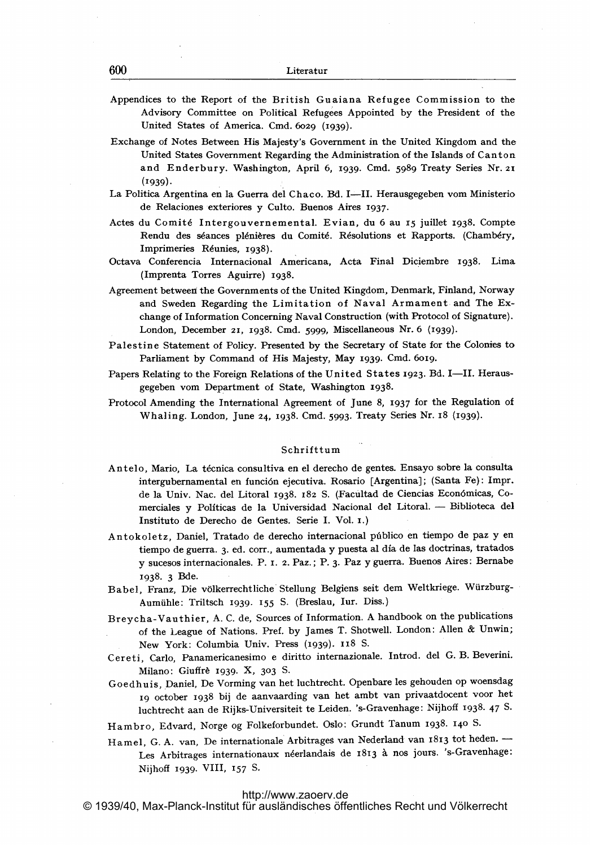- Appendices to the Report of the British Guaiana Refugee Commission to the Advisory Committee on Political Refugees Appointed by the President of the United States of America. Cmd. 6029 (1939).
- Exchange of Notes Between His Majesty's Government in the United Kingdom and the United States Government Regarding the Administration of the Islands of Canton and Enderbury. Washington, April 6, 1939. Cmd. <sup>5989</sup> Treaty Series Nr. <sup>21</sup>  $(1939).$
- La Politica Argentina en la Guerra del Chaco. Bd. I-II. Herausgegeben vom Ministerio de Relaciones exteriores y Culto. Buenos Aires 1937.
- Actes du Comit6 Intergouvernemental. Evian, du 6 au <sup>15</sup> juillet 1938. Compte Rendu des séances plénières du Comité. Résolutions et Rapports. (Chambéry, Imprimeries Réunies, 1938).
- Octava Conferencia Internacional Americana, Acta Final Diciembre 1938. Lima (Imprenta Torres Aguirre) 1938-
- Agreement between the Governments of the United Kingdom, Denmark, Finland, Norway and Sweden Regarding the Limitation of Naval Armament and The Exchange of Information Concerning Naval Construction (with Protocol of Signature). London, December 21, 1938. Cmd. 5999, Miscellaneous Nr. 6 (1939).
- Palestine Statement of Policy. Presented by the Secretary of State for the Colonies to Parliament by Command of His Majesty, May 1939. Cmd. 6019.
- Papers Relating to the Foreign Relations of the United States 1923. Bd. I-II. Herausgegeben vom Department of State, Washington 1938.
- Protocol Amending the International Agreement of June 8, 1937 for the Regulation of Whaling. London, June 24, 1938. Cmd. 5993. Treaty Series Nr. IS (1939).

# Schriftturn

- Antelo, Mario, La técnica consultiva en el derecho de gentes. Ensayo sobre la consulta intergubernamental en funci6n ejecutiva. Rosario [Argentina]; (Santa Fe): Impr. de la Univ. Nac. del Litoral 1938. 182 S. (Facultad de Ciencias Econ6micas, Comerciales y Políticas de la Universidad Nacional del Litoral. - Biblioteca del Instituto de Derecho de Gentes. Serie I. Vol. I.)
- Antokoletz, Daniel, Tratado de derecho internacional público en tiempo de paz y en tiempo de guerra. 3. ed. corr., aumentada y puesta al dia. de Ias doctrinas, tratados y sucesos internacionales. P. 1. 2. Paz.; P. 3. Paz y guerra. Buenos Aires: Bernabe 1938- 3 Bde.
- Babel, Franz, Die völkerrechtliche Stellung Belgiens seit dem Weltkriege. Würzburg-Aumühle: Triltsch 1939. 155 S. (Breslau, Iur. Diss.)
- Breycha-Vauthier, A. C. de, Sources of Information. A handbook on the publications of the League of Nations. Pref. by James T. Shotwell. London: Allen & Unwin, New York: Columbia Univ. Press (1939). 118 S.
- Cereti, Carlo, Panamericanesimo <sup>e</sup> diritto internazionale. Introd. del G. B. Beverini. Milano: Giuffrè 1939. X, 303 S.
- Goedhuis, Daniel, De Vorming van het luchtrecht. Openbare les gehouden op woensdag ig october <sup>1938</sup> bij de aanvaarding van het ambt van privaatdocent voor het luchtrecht aan de Rijks-Universiteit te Leiden. 's-Gravenhage: Nijhoff 1938- 47 S-
- Hambro, Edvard, Norge og Folkeforbundet. Oslo: Grundt Tanum 1938. <sup>140</sup> S-
- Hamel, G. A. van, De internationale Arbitrages van Nederland van 1813 tot heden. --Les Arbitrages internationaux néerlandais de 1813 à nos jours. 's-Gravenhage: Nijhoff 1939. VIII, 157 S-

# [http://www.zaoerv.de](S-http://www.zaoerv.de)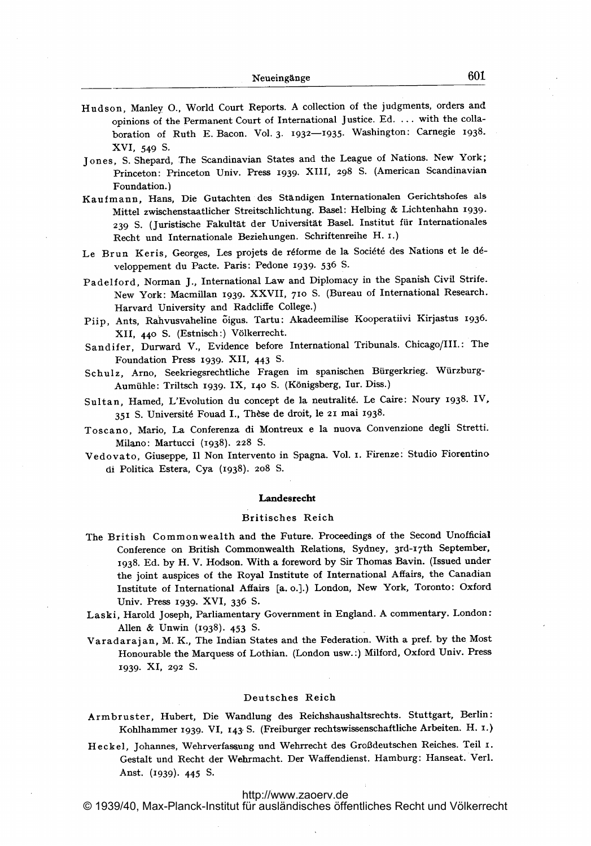- Hudson, Manley 0., World Court Reports. A collection of the judgments, orders and opinions of the Permanent Court of International Justice. Ed. ... with the collaboration of Ruth E. Bacon. Vol. 3. 1932-1935. Washington: Carnegie 1938. XVI, 549 S.
- Jones, S. Shepard, The Scandinavian States and the League of Nations. New York; Princeton: Princeton Univ. Press 1939. XIII, 298 S. (American Scandinavian Foundation.)
- Kaufmann, Hans, Die Gutachten des Ständigen Internationalen Gerichtshofes als Mittel zwischenstaatlicher Streitschlichtung. Basel: Helbing & Lichtenhahn 1939- 239 S. (juristische Fakultät der Universität Basel. Institut für Internationales Recht und Internationale Beziehungen. Schriftenreihe H. i.)
- Le Brun Keris, Georges, Les projets de réforme de la Société des Nations et le développernent du Pacte. Paris: Pedone 1939. 536 S.
- Padelford, Norman J., International Law and Diplomacy in the Spanish Civil Strife. New York: Macmillan 1939. XXVII, 710 S. (Bureau of International Research. Harvard University and Radcliffe College.)
- Piip, Ants, Rahvusvaheline 6igus. Tartu: Akadeemilise Kooperatiivi Kirjastus 1936. XII, 440 S. (Estnisch:) Völkerrecht.
- Sandifer, Durward V., Evidence before International Tribunals. Chicago/III.: The Foundation Press 1939. XII, 443 S-
- Schulz, Arno, Seekriegsrechtliche Fragen im spanischen Bürgerkrieg. Würzburg-Aurniffile: Triltsch 1939. IX, 140 S. (K6nigsberg, Iur. Diss.)
- Sultan, Hamed, L'Evolution du concept de la neutralit6. Le Caire: Noury 1938. IV, 351 S. Université Fouad I., Thèse de droit, le 21 mai 1938.
- Toscano, Mario, La Conferenza di Montreux <sup>e</sup> la nuova Convenzione degli Stretti. Milano: Martucci (1938). 228 S.
- Vedovato, Giuseppe, <sup>11</sup> Non Intervento in Spagna. Vol. i. Firenze: Studio Fiorentino di Politica Estera, Cya (1938). 2o8 S.

## **Landesrecht**

# Britisches Reich

- The British Commonwealth and the Future. Proceedings of the Second Unofficial Conference on British Commonwealth Relations, Sydney, 3rd-i7th September, 1938. Ed. by H. V. Hodson. With a foreword by Sir Thomas Bavin. (Issued under the joint auspices of the Royal Institute of International Affairs, the Canadian Institute of International Affairs [a. o.].) London, New York, Toronto: Oxford Univ. Press 1939. XVI, 336 S.
- Laski, Harold Joseph, Parliamentary Government in England. A commentary. London: Allen & Unwin (1938)- 453 S-
- Varadarajan, M. K., The Indian States and the Federation. With a pref. by the Most Honourable the Marquess of Lothian. (London usw.:) Milford, Oxford Univ. Press 1939- XI, 292 S.

#### Deutsches Reich

Armbruster, Hubert, Die Wandlung des Reichshaushaltsrechts. Stuttgart, Berlin: Kohlhammer 1939. VI, 143- S. (Freiburger rechtswissenschaftliche Arbeiten. H. I.)

Heckel, Johannes, Wehrverfassung und Wehrrecht des Grol3deutschen Reiches. Teil i. Gestalt und Recht der Wehrmacht. Der Waffendienst. Hamburg: Hanseat. Verl. Anst. (1939). 445 S.

# [http://www.zaoerv.de](S-http://www.zaoerv.de)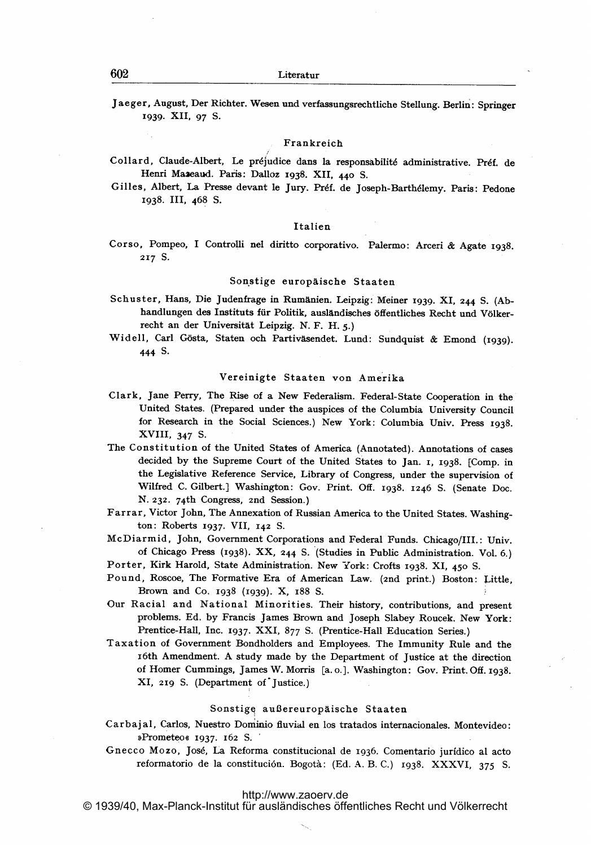Jaeger, August, Der Richter. Wesen und verfassungsrechtliche Stellung. Berlin: Springer 1939. XII, 97 S.

## Frankreich

- Collard, Claude-Albert, Le préjudice dans la responsabilité administrative. Préf. de Henri Mazeaud. Paris: Dalloz 1938. XII, 440 S.
- Gilles, Albert, La Presse devant le Jury. Préf. de Joseph-Barthélemy. Paris: Pedone 1938. 111, 468 S.

## Italien

Corso, Pompeo, <sup>I</sup> Controlli nel diritto corporativo. Palermo: Arceri & Agate 1938. 217 S.

### Sonstige europäische Staaten

- Schuster, Hans, Die Judenfrage in Rumänien. Leipzig: Meiner 1939. XI, 244 S. (Abhandlungen des Instituts für Politik, ausländisches öffentliches Recht und Völkerrecht an der Universität Leipzig. N. F. H. 5.)
- Widell, Carl Gösta, Staten och Partiväsendet. Lund: Sundquist & Emond (1939). 444 S-

## Vereinigte Staaten von Amerika

- Clark, Jane Perry, The Rise of <sup>a</sup> New Federalism. Federal-State Cooperation in the United States. (Prepared under the auspices of the Columbia University Council for Research in the Social Sciences.) New York: Columbia Univ. Press 1938. XVIII, 347 S.
- The Constitution of the United States of America (Annotated). Annotations of cases decided by the Supreme Court of the United States to Jan. 1, 1938. [Comp. in the Legislative Reference Service, Library of Congress, under the supervision of Wilfred C. Gilbert.] Washington: Gov. Print. Off. 1938. 1246 S. (Senate Doc. N. 232. 74th Congress, 2nd Session.)
- Farrar, Victor John, The Annexation of Russian America to the United States. Washington: Roberts 1937. VII, 142 S.
- McDiarmid, John, Government Corporations and Federal Funds. Chicago/III.: Univ. of Chicago Press (1938). XX, <sup>244</sup> S. (Studies in Public Administration. Vol. 6.)
- Porter, Kirk Harold, State Administration. New York: Crofts 1938. XI, 450 S.
- Pound, Roscoe, The Formative Era of American Law. (2nd print.) Boston: Little, Brown and Co. 1938 (1939). X, 188 S.
- Our Racial and National Minorities. Their history, contributions, and present problems. Ed. by Francis James Brown and Joseph Slabey Roucek. New York: Prentice-Hall, Inc. 1937. XXI, 877 S. (Prentice-Hall Education Series.)
- Taxation of Government Bondholders and Employees. The Immunity Rule and the x6th Amendment. A study made by the Department of justice at the direction of Homer Cummings, James W. Morris [a.o.]. Washington: Gov. Print. Off. 1938. XI, 2ig S. (Department of'Justice.)

## Sonstige außereuropäische Staaten

- Carbajal, Carlos, Nuestro Dominio fluvial en los tratados internacionales. Montevideo: »Prometeo« 1937. 162 S.
- Gnecco Mozo, Jos6, La Reforma constitucional de 1936. Comentario juridico al acto reformatorio de la constitución. Bogotà: (Ed. A. B. C.) 1938. XXXVI, 375 S.

## <http://www.zaoerv.de>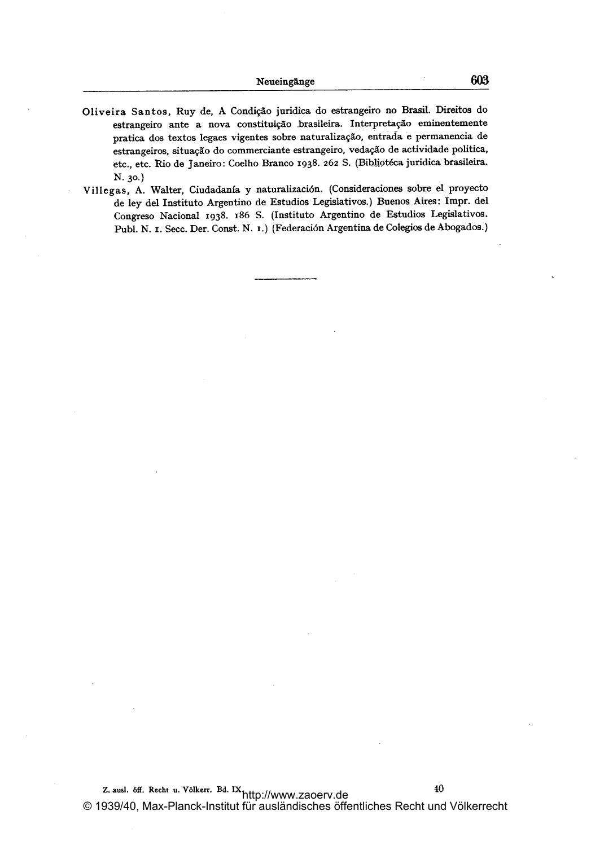- Oliveira Santos, Ruy de, A Condição juridica do estrangeiro no Brasil. Direitos do estrangeiro ante a nova constituição brasileira. Interpretação eminentemente pratica dos textos legaes vigentes sobre naturalizaggo, entrada <sup>e</sup> permanencia de estrangeiros, situação do commerciante estrangeiro, vedação de actividade politica, etc., etc. Rio de Janeiro: Coelho Branco 1938. 262 S. (Bibliotéca juridica brasileira. N. 30.)
- Villegas, A. Walter, Ciudadania y naturalizaci6n. (Consideraciones sobre el proyecto de ley del Instituto Argentino de Estudios Legislativos.) Buenos Aires: Impr. del Congreso Nacional 1938. 186 S. (Instituto Argentino de Estudios Legislativos. Publ. N. I. Secc. Der. Const. N. I.) (Federación Argentina de Colegios de Abogados.)